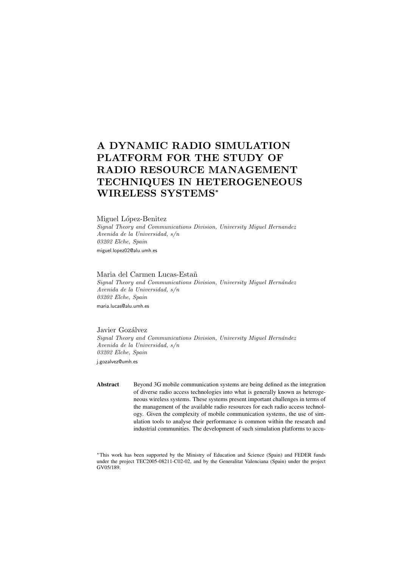# A DYNAMIC RADIO SIMULATION PLATFORM FOR THE STUDY OF RADIO RESOURCE MANAGEMENT TECHNIQUES IN HETEROGENEOUS WIRELESS SYSTEMS<sup>∗</sup>

#### Miguel López-Benitez

Signal Theory and Communications Division, University Miguel Hernandez Avenida de la Universidad, s/n 03202 Elche, Spain miguel.lopez02@alu.umh.es

# Maria del Carmen Lucas-Estañ

Signal Theory and Communications Division, University Miguel Hernández Avenida de la Universidad, s/n 03202 Elche, Spain maria.lucas@alu.umh.es

Javier Gozálvez Signal Theory and Communications Division, University Miguel Hernández Avenida de la Universidad, s/n 03202 Elche, Spain j.gozalvez@umh.es

Abstract Beyond 3G mobile communication systems are being defined as the integration of diverse radio access technologies into what is generally known as heterogeneous wireless systems. These systems present important challenges in terms of the management of the available radio resources for each radio access technology. Given the complexity of mobile communication systems, the use of simulation tools to analyse their performance is common within the research and industrial communities. The development of such simulation platforms to accu-

<sup>∗</sup>This work has been supported by the Ministry of Education and Science (Spain) and FEDER funds under the project TEC2005-08211-C02-02, and by the Generalitat Valenciana (Spain) under the project GV05/189.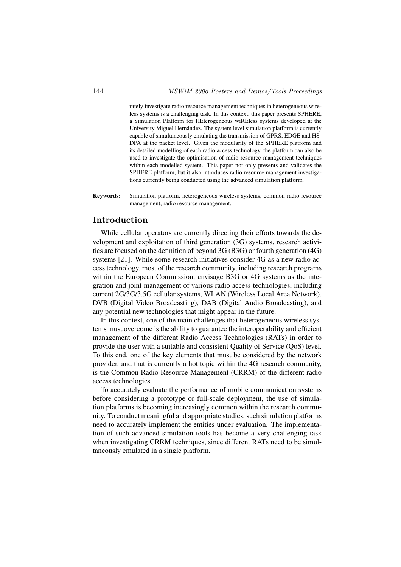rately investigate radio resource management techniques in heterogeneous wireless systems is a challenging task. In this context, this paper presents SPHERE, a Simulation Platform for HEterogeneous wiREless systems developed at the University Miguel Hernández. The system level simulation platform is currently capable of simultaneously emulating the transmission of GPRS, EDGE and HS-DPA at the packet level. Given the modularity of the SPHERE platform and its detailed modelling of each radio access technology, the platform can also be used to investigate the optimisation of radio resource management techniques within each modelled system. This paper not only presents and validates the SPHERE platform, but it also introduces radio resource management investigations currently being conducted using the advanced simulation platform.

Keywords: Simulation platform, heterogeneous wireless systems, common radio resource management, radio resource management.

# Introduction

While cellular operators are currently directing their efforts towards the development and exploitation of third generation (3G) systems, research activities are focused on the definition of beyond 3G (B3G) or fourth generation (4G) systems [21]. While some research initiatives consider 4G as a new radio access technology, most of the research community, including research programs within the European Commission, envisage B3G or 4G systems as the integration and joint management of various radio access technologies, including current 2G/3G/3.5G cellular systems, WLAN (Wireless Local Area Network), DVB (Digital Video Broadcasting), DAB (Digital Audio Broadcasting), and any potential new technologies that might appear in the future.

In this context, one of the main challenges that heterogeneous wireless systems must overcome is the ability to guarantee the interoperability and efficient management of the different Radio Access Technologies (RATs) in order to provide the user with a suitable and consistent Quality of Service (QoS) level. To this end, one of the key elements that must be considered by the network provider, and that is currently a hot topic within the 4G research community, is the Common Radio Resource Management (CRRM) of the different radio access technologies.

To accurately evaluate the performance of mobile communication systems before considering a prototype or full-scale deployment, the use of simulation platforms is becoming increasingly common within the research community. To conduct meaningful and appropriate studies, such simulation platforms need to accurately implement the entities under evaluation. The implementation of such advanced simulation tools has become a very challenging task when investigating CRRM techniques, since different RATs need to be simultaneously emulated in a single platform.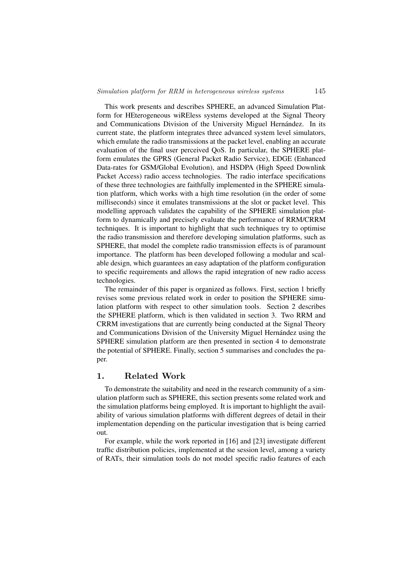This work presents and describes SPHERE, an advanced Simulation Platform for HEterogeneous wiREless systems developed at the Signal Theory and Communications Division of the University Miguel Hernández. In its current state, the platform integrates three advanced system level simulators, which emulate the radio transmissions at the packet level, enabling an accurate evaluation of the final user perceived QoS. In particular, the SPHERE platform emulates the GPRS (General Packet Radio Service), EDGE (Enhanced Data-rates for GSM/Global Evolution), and HSDPA (High Speed Downlink Packet Access) radio access technologies. The radio interface specifications of these three technologies are faithfully implemented in the SPHERE simulation platform, which works with a high time resolution (in the order of some milliseconds) since it emulates transmissions at the slot or packet level. This modelling approach validates the capability of the SPHERE simulation platform to dynamically and precisely evaluate the performance of RRM/CRRM techniques. It is important to highlight that such techniques try to optimise the radio transmission and therefore developing simulation platforms, such as SPHERE, that model the complete radio transmission effects is of paramount importance. The platform has been developed following a modular and scalable design, which guarantees an easy adaptation of the platform configuration to specific requirements and allows the rapid integration of new radio access technologies.

The remainder of this paper is organized as follows. First, section 1 briefly revises some previous related work in order to position the SPHERE simulation platform with respect to other simulation tools. Section 2 describes the SPHERE platform, which is then validated in section 3. Two RRM and CRRM investigations that are currently being conducted at the Signal Theory and Communications Division of the University Miguel Hernández using the SPHERE simulation platform are then presented in section 4 to demonstrate the potential of SPHERE. Finally, section 5 summarises and concludes the paper.

#### 1. Related Work

To demonstrate the suitability and need in the research community of a simulation platform such as SPHERE, this section presents some related work and the simulation platforms being employed. It is important to highlight the availability of various simulation platforms with different degrees of detail in their implementation depending on the particular investigation that is being carried out.

For example, while the work reported in [16] and [23] investigate different traffic distribution policies, implemented at the session level, among a variety of RATs, their simulation tools do not model specific radio features of each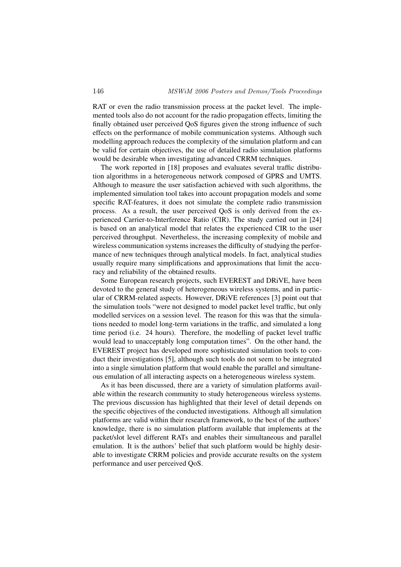RAT or even the radio transmission process at the packet level. The implemented tools also do not account for the radio propagation effects, limiting the finally obtained user perceived QoS figures given the strong influence of such effects on the performance of mobile communication systems. Although such modelling approach reduces the complexity of the simulation platform and can be valid for certain objectives, the use of detailed radio simulation platforms would be desirable when investigating advanced CRRM techniques.

The work reported in [18] proposes and evaluates several traffic distribution algorithms in a heterogeneous network composed of GPRS and UMTS. Although to measure the user satisfaction achieved with such algorithms, the implemented simulation tool takes into account propagation models and some specific RAT-features, it does not simulate the complete radio transmission process. As a result, the user perceived QoS is only derived from the experienced Carrier-to-Interference Ratio (CIR). The study carried out in [24] is based on an analytical model that relates the experienced CIR to the user perceived throughput. Nevertheless, the increasing complexity of mobile and wireless communication systems increases the difficulty of studying the performance of new techniques through analytical models. In fact, analytical studies usually require many simplifications and approximations that limit the accuracy and reliability of the obtained results.

Some European research projects, such EVEREST and DRiVE, have been devoted to the general study of heterogeneous wireless systems, and in particular of CRRM-related aspects. However, DRiVE references [3] point out that the simulation tools "were not designed to model packet level traffic, but only modelled services on a session level. The reason for this was that the simulations needed to model long-term variations in the traffic, and simulated a long time period (i.e. 24 hours). Therefore, the modelling of packet level traffic would lead to unacceptably long computation times". On the other hand, the EVEREST project has developed more sophisticated simulation tools to conduct their investigations [5], although such tools do not seem to be integrated into a single simulation platform that would enable the parallel and simultaneous emulation of all interacting aspects on a heterogeneous wireless system.

As it has been discussed, there are a variety of simulation platforms available within the research community to study heterogeneous wireless systems. The previous discussion has highlighted that their level of detail depends on the specific objectives of the conducted investigations. Although all simulation platforms are valid within their research framework, to the best of the authors' knowledge, there is no simulation platform available that implements at the packet/slot level different RATs and enables their simultaneous and parallel emulation. It is the authors' belief that such platform would be highly desirable to investigate CRRM policies and provide accurate results on the system performance and user perceived QoS.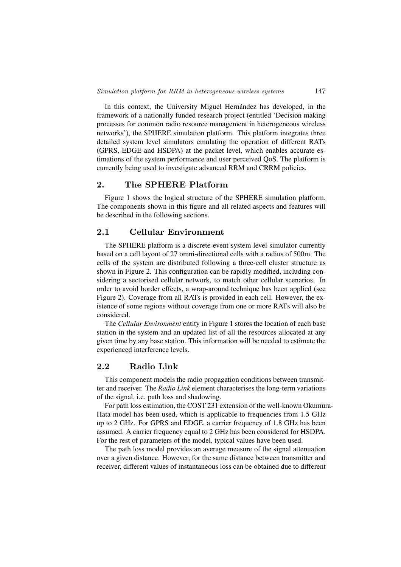In this context, the University Miguel Hernández has developed, in the framework of a nationally funded research project (entitled 'Decision making processes for common radio resource management in heterogeneous wireless networks'), the SPHERE simulation platform. This platform integrates three detailed system level simulators emulating the operation of different RATs (GPRS, EDGE and HSDPA) at the packet level, which enables accurate estimations of the system performance and user perceived QoS. The platform is currently being used to investigate advanced RRM and CRRM policies.

# 2. The SPHERE Platform

Figure 1 shows the logical structure of the SPHERE simulation platform. The components shown in this figure and all related aspects and features will be described in the following sections.

# 2.1 Cellular Environment

The SPHERE platform is a discrete-event system level simulator currently based on a cell layout of 27 omni-directional cells with a radius of 500m. The cells of the system are distributed following a three-cell cluster structure as shown in Figure 2. This configuration can be rapidly modified, including considering a sectorised cellular network, to match other cellular scenarios. In order to avoid border effects, a wrap-around technique has been applied (see Figure 2). Coverage from all RATs is provided in each cell. However, the existence of some regions without coverage from one or more RATs will also be considered.

The *Cellular Environment* entity in Figure 1 stores the location of each base station in the system and an updated list of all the resources allocated at any given time by any base station. This information will be needed to estimate the experienced interference levels.

# 2.2 Radio Link

This component models the radio propagation conditions between transmitter and receiver. The *Radio Link* element characterises the long-term variations of the signal, i.e. path loss and shadowing.

For path loss estimation, the COST 231 extension of the well-known Okumura-Hata model has been used, which is applicable to frequencies from 1.5 GHz up to 2 GHz. For GPRS and EDGE, a carrier frequency of 1.8 GHz has been assumed. A carrier frequency equal to 2 GHz has been considered for HSDPA. For the rest of parameters of the model, typical values have been used.

The path loss model provides an average measure of the signal attenuation over a given distance. However, for the same distance between transmitter and receiver, different values of instantaneous loss can be obtained due to different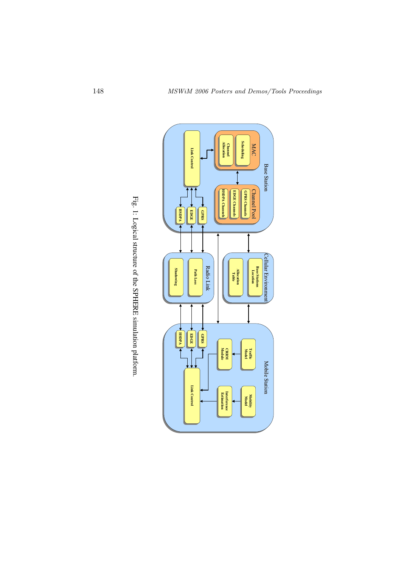

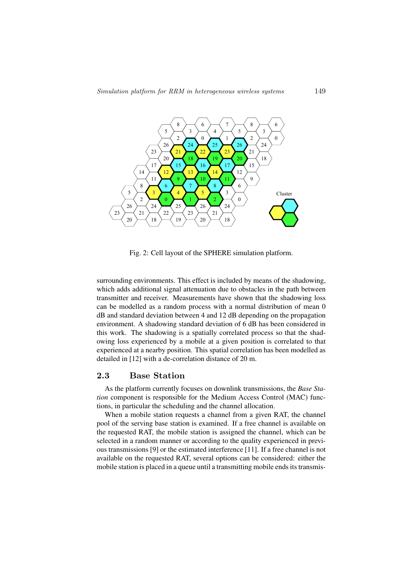

Fig. 2: Cell layout of the SPHERE simulation platform.

surrounding environments. This effect is included by means of the shadowing, which adds additional signal attenuation due to obstacles in the path between transmitter and receiver. Measurements have shown that the shadowing loss can be modelled as a random process with a normal distribution of mean 0 dB and standard deviation between 4 and 12 dB depending on the propagation environment. A shadowing standard deviation of 6 dB has been considered in this work. The shadowing is a spatially correlated process so that the shadowing loss experienced by a mobile at a given position is correlated to that experienced at a nearby position. This spatial correlation has been modelled as detailed in [12] with a de-correlation distance of 20 m.

#### 2.3 Base Station

As the platform currently focuses on downlink transmissions, the *Base Station* component is responsible for the Medium Access Control (MAC) functions, in particular the scheduling and the channel allocation.

When a mobile station requests a channel from a given RAT, the channel pool of the serving base station is examined. If a free channel is available on the requested RAT, the mobile station is assigned the channel, which can be selected in a random manner or according to the quality experienced in previous transmissions [9] or the estimated interference [11]. If a free channel is not available on the requested RAT, several options can be considered: either the mobile station is placed in a queue until a transmitting mobile ends its transmis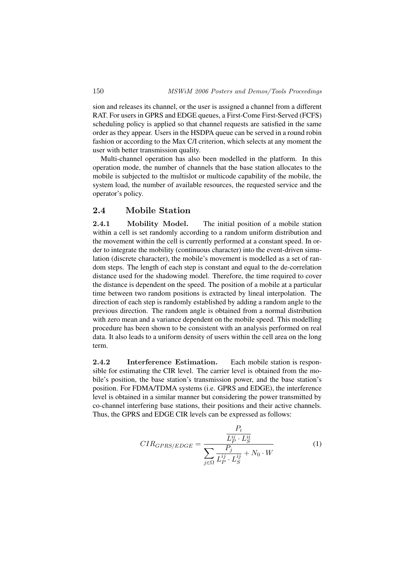sion and releases its channel, or the user is assigned a channel from a different RAT. For users in GPRS and EDGE queues, a First-Come First-Served (FCFS) scheduling policy is applied so that channel requests are satisfied in the same order as they appear. Users in the HSDPA queue can be served in a round robin fashion or according to the Max C/I criterion, which selects at any moment the user with better transmission quality.

Multi-channel operation has also been modelled in the platform. In this operation mode, the number of channels that the base station allocates to the mobile is subjected to the multislot or multicode capability of the mobile, the system load, the number of available resources, the requested service and the operator's policy.

## 2.4 Mobile Station

2.4.1 Mobility Model. The initial position of a mobile station within a cell is set randomly according to a random uniform distribution and the movement within the cell is currently performed at a constant speed. In order to integrate the mobility (continuous character) into the event-driven simulation (discrete character), the mobile's movement is modelled as a set of random steps. The length of each step is constant and equal to the de-correlation distance used for the shadowing model. Therefore, the time required to cover the distance is dependent on the speed. The position of a mobile at a particular time between two random positions is extracted by lineal interpolation. The direction of each step is randomly established by adding a random angle to the previous direction. The random angle is obtained from a normal distribution with zero mean and a variance dependent on the mobile speed. This modelling procedure has been shown to be consistent with an analysis performed on real data. It also leads to a uniform density of users within the cell area on the long term.

2.4.2 Interference Estimation. Each mobile station is responsible for estimating the CIR level. The carrier level is obtained from the mobile's position, the base station's transmission power, and the base station's position. For FDMA/TDMA systems (i.e. GPRS and EDGE), the interference level is obtained in a similar manner but considering the power transmitted by co-channel interfering base stations, their positions and their active channels. Thus, the GPRS and EDGE CIR levels can be expressed as follows:

$$
CIR_{GPRS/EDGE} = \frac{\frac{P_i}{L_P^{ii} \cdot L_S^{ii}}}{\sum_{j \in \Omega} \frac{P_j}{L_P^{ij} \cdot L_S^{ij}} + N_0 \cdot W}
$$
(1)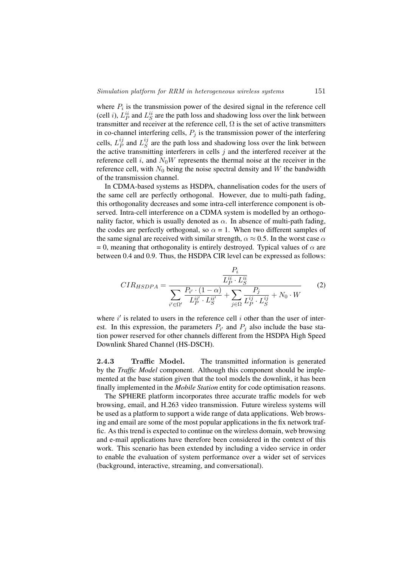where  $P_i$  is the transmission power of the desired signal in the reference cell (cell *i*),  $L_P^{ii}$  and  $L_S^{ii}$  are the path loss and shadowing loss over the link between transmitter and receiver at the reference cell,  $\Omega$  is the set of active transmitters in co-channel interfering cells,  $P_i$  is the transmission power of the interfering cells,  $L_P^{ij}$  $_{P}^{ij}$  and  $L_{S}^{ij}$  $\frac{y}{S}$  are the path loss and shadowing loss over the link between the active transmitting interferers in cells  $j$  and the interfered receiver at the reference cell i, and  $N_0W$  represents the thermal noise at the receiver in the reference cell, with  $N_0$  being the noise spectral density and W the bandwidth of the transmission channel.

In CDMA-based systems as HSDPA, channelisation codes for the users of the same cell are perfectly orthogonal. However, due to multi-path fading, this orthogonality decreases and some intra-cell interference component is observed. Intra-cell interference on a CDMA system is modelled by an orthogonality factor, which is usually denoted as  $\alpha$ . In absence of multi-path fading, the codes are perfectly orthogonal, so  $\alpha = 1$ . When two different samples of the same signal are received with similar strength,  $\alpha \approx 0.5$ . In the worst case  $\alpha$ = 0, meaning that orthogonality is entirely destroyed. Typical values of  $\alpha$  are between 0.4 and 0.9. Thus, the HSDPA CIR level can be expressed as follows:

$$
CIR_{HSDPA} = \frac{\overline{L_P^{ii} \cdot L_S^{ii}}}{\sum_{i' \in \Omega'} \frac{P_{i'} \cdot (1 - \alpha)}{L_P^{ii'} \cdot L_S^{ii'}} + \sum_{j \in \Omega} \frac{P_j}{L_P^{ij} \cdot L_S^{ij}} + N_0 \cdot W}
$$
(2)

where  $i'$  is related to users in the reference cell  $i$  other than the user of interest. In this expression, the parameters  $P_{i'}$  and  $P_j$  also include the base station power reserved for other channels different from the HSDPA High Speed Downlink Shared Channel (HS-DSCH).

2.4.3 Traffic Model. The transmitted information is generated by the *Traffic Model* component. Although this component should be implemented at the base station given that the tool models the downlink, it has been finally implemented in the *Mobile Station* entity for code optimisation reasons.

The SPHERE platform incorporates three accurate traffic models for web browsing, email, and H.263 video transmission. Future wireless systems will be used as a platform to support a wide range of data applications. Web browsing and email are some of the most popular applications in the fix network traffic. As this trend is expected to continue on the wireless domain, web browsing and e-mail applications have therefore been considered in the context of this work. This scenario has been extended by including a video service in order to enable the evaluation of system performance over a wider set of services (background, interactive, streaming, and conversational).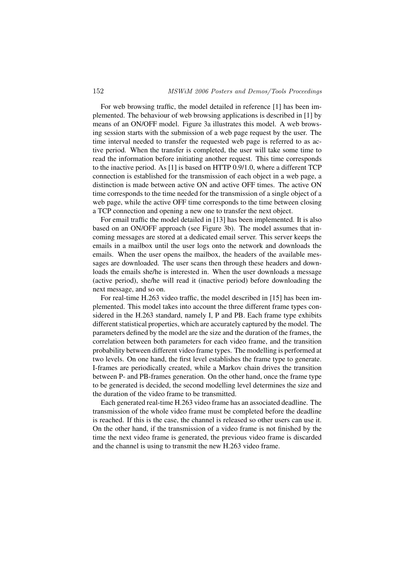For web browsing traffic, the model detailed in reference [1] has been implemented. The behaviour of web browsing applications is described in [1] by means of an ON/OFF model. Figure 3a illustrates this model. A web browsing session starts with the submission of a web page request by the user. The time interval needed to transfer the requested web page is referred to as active period. When the transfer is completed, the user will take some time to read the information before initiating another request. This time corresponds to the inactive period. As [1] is based on HTTP 0.9/1.0, where a different TCP connection is established for the transmission of each object in a web page, a distinction is made between active ON and active OFF times. The active ON time corresponds to the time needed for the transmission of a single object of a web page, while the active OFF time corresponds to the time between closing a TCP connection and opening a new one to transfer the next object.

For email traffic the model detailed in [13] has been implemented. It is also based on an ON/OFF approach (see Figure 3b). The model assumes that incoming messages are stored at a dedicated email server. This server keeps the emails in a mailbox until the user logs onto the network and downloads the emails. When the user opens the mailbox, the headers of the available messages are downloaded. The user scans then through these headers and downloads the emails she/he is interested in. When the user downloads a message (active period), she/he will read it (inactive period) before downloading the next message, and so on.

For real-time H.263 video traffic, the model described in [15] has been implemented. This model takes into account the three different frame types considered in the H.263 standard, namely I, P and PB. Each frame type exhibits different statistical properties, which are accurately captured by the model. The parameters defined by the model are the size and the duration of the frames, the correlation between both parameters for each video frame, and the transition probability between different video frame types. The modelling is performed at two levels. On one hand, the first level establishes the frame type to generate. I-frames are periodically created, while a Markov chain drives the transition between P- and PB-frames generation. On the other hand, once the frame type to be generated is decided, the second modelling level determines the size and the duration of the video frame to be transmitted.

Each generated real-time H.263 video frame has an associated deadline. The transmission of the whole video frame must be completed before the deadline is reached. If this is the case, the channel is released so other users can use it. On the other hand, if the transmission of a video frame is not finished by the time the next video frame is generated, the previous video frame is discarded and the channel is using to transmit the new H.263 video frame.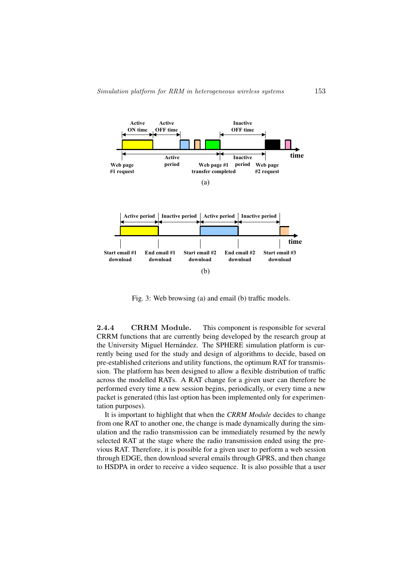

Fig. 3: Web browsing (a) and email (b) traffic models.

2.4.4 CRRM Module. This component is responsible for several CRRM functions that are currently being developed by the research group at the University Miguel Hernández. The SPHERE simulation platform is currently being used for the study and design of algorithms to decide, based on pre-established criterions and utility functions, the optimum RAT for transmission. The platform has been designed to allow a flexible distribution of traffic across the modelled RATs. A RAT change for a given user can therefore be performed every time a new session begins, periodically, or every time a new packet is generated (this last option has been implemented only for experimentation purposes).

It is important to highlight that when the *CRRM Module* decides to change from one RAT to another one, the change is made dynamically during the simulation and the radio transmission can be immediately resumed by the newly selected RAT at the stage where the radio transmission ended using the previous RAT. Therefore, it is possible for a given user to perform a web session through EDGE, then download several emails through GPRS, and then change to HSDPA in order to receive a video sequence. It is also possible that a user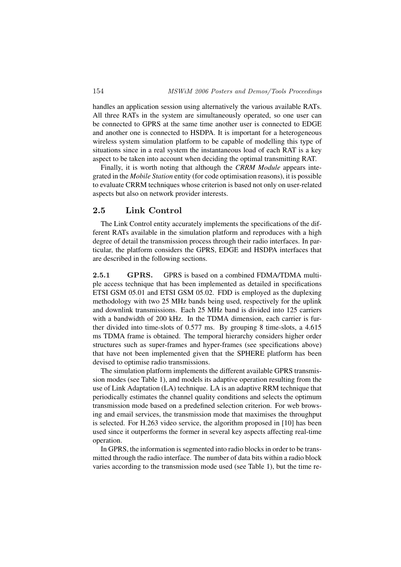handles an application session using alternatively the various available RATs. All three RATs in the system are simultaneously operated, so one user can be connected to GPRS at the same time another user is connected to EDGE and another one is connected to HSDPA. It is important for a heterogeneous wireless system simulation platform to be capable of modelling this type of situations since in a real system the instantaneous load of each RAT is a key aspect to be taken into account when deciding the optimal transmitting RAT.

Finally, it is worth noting that although the *CRRM Module* appears integrated in the *Mobile Station* entity (for code optimisation reasons), it is possible to evaluate CRRM techniques whose criterion is based not only on user-related aspects but also on network provider interests.

## 2.5 Link Control

The Link Control entity accurately implements the specifications of the different RATs available in the simulation platform and reproduces with a high degree of detail the transmission process through their radio interfaces. In particular, the platform considers the GPRS, EDGE and HSDPA interfaces that are described in the following sections.

2.5.1 GPRS. GPRS is based on a combined FDMA/TDMA multiple access technique that has been implemented as detailed in specifications ETSI GSM 05.01 and ETSI GSM 05.02. FDD is employed as the duplexing methodology with two 25 MHz bands being used, respectively for the uplink and downlink transmissions. Each 25 MHz band is divided into 125 carriers with a bandwidth of 200 kHz. In the TDMA dimension, each carrier is further divided into time-slots of 0.577 ms. By grouping 8 time-slots, a 4.615 ms TDMA frame is obtained. The temporal hierarchy considers higher order structures such as super-frames and hyper-frames (see specifications above) that have not been implemented given that the SPHERE platform has been devised to optimise radio transmissions.

The simulation platform implements the different available GPRS transmission modes (see Table 1), and models its adaptive operation resulting from the use of Link Adaptation (LA) technique. LA is an adaptive RRM technique that periodically estimates the channel quality conditions and selects the optimum transmission mode based on a predefined selection criterion. For web browsing and email services, the transmission mode that maximises the throughput is selected. For H.263 video service, the algorithm proposed in [10] has been used since it outperforms the former in several key aspects affecting real-time operation.

In GPRS, the information is segmented into radio blocks in order to be transmitted through the radio interface. The number of data bits within a radio block varies according to the transmission mode used (see Table 1), but the time re-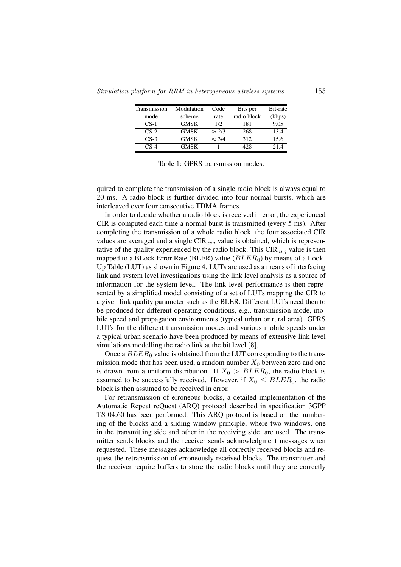| Transmission | Modulation  | Code          | Bits per    | Bit-rate |
|--------------|-------------|---------------|-------------|----------|
|              |             |               |             |          |
| mode         | scheme      | rate          | radio block | (kbps)   |
| $CS-1$       | <b>GMSK</b> | 1/2           | 181         | 9.05     |
| $CS-2$       | <b>GMSK</b> | $\approx 2/3$ | 268         | 13.4     |
| $CS-3$       | <b>GMSK</b> | $\approx$ 3/4 | 312         | 15.6     |
| $CS-4$       | GMSK        |               | 428         | 214      |

Table 1: GPRS transmission modes.

quired to complete the transmission of a single radio block is always equal to 20 ms. A radio block is further divided into four normal bursts, which are interleaved over four consecutive TDMA frames.

In order to decide whether a radio block is received in error, the experienced CIR is computed each time a normal burst is transmitted (every 5 ms). After completing the transmission of a whole radio block, the four associated CIR values are averaged and a single  $CIR_{avg}$  value is obtained, which is representative of the quality experienced by the radio block. This  $CIR_{ava}$  value is then mapped to a BLock Error Rate (BLER) value ( $BLER_0$ ) by means of a Look-Up Table (LUT) as shown in Figure 4. LUTs are used as a means of interfacing link and system level investigations using the link level analysis as a source of information for the system level. The link level performance is then represented by a simplified model consisting of a set of LUTs mapping the CIR to a given link quality parameter such as the BLER. Different LUTs need then to be produced for different operating conditions, e.g., transmission mode, mobile speed and propagation environments (typical urban or rural area). GPRS LUTs for the different transmission modes and various mobile speeds under a typical urban scenario have been produced by means of extensive link level simulations modelling the radio link at the bit level [8].

Once a  $BLER_0$  value is obtained from the LUT corresponding to the transmission mode that has been used, a random number  $X_0$  between zero and one is drawn from a uniform distribution. If  $X_0 > BLER_0$ , the radio block is assumed to be successfully received. However, if  $X_0 \leq BLER_0$ , the radio block is then assumed to be received in error.

For retransmission of erroneous blocks, a detailed implementation of the Automatic Repeat reQuest (ARQ) protocol described in specification 3GPP TS 04.60 has been performed. This ARQ protocol is based on the numbering of the blocks and a sliding window principle, where two windows, one in the transmitting side and other in the receiving side, are used. The transmitter sends blocks and the receiver sends acknowledgment messages when requested. These messages acknowledge all correctly received blocks and request the retransmission of erroneously received blocks. The transmitter and the receiver require buffers to store the radio blocks until they are correctly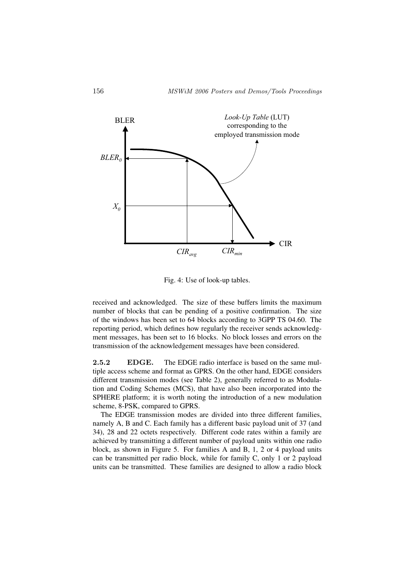

Fig. 4: Use of look-up tables.

received and acknowledged. The size of these buffers limits the maximum number of blocks that can be pending of a positive confirmation. The size of the windows has been set to 64 blocks according to 3GPP TS 04.60. The reporting period, which defines how regularly the receiver sends acknowledgment messages, has been set to 16 blocks. No block losses and errors on the transmission of the acknowledgement messages have been considered.

2.5.2 EDGE. The EDGE radio interface is based on the same multiple access scheme and format as GPRS. On the other hand, EDGE considers different transmission modes (see Table 2), generally referred to as Modulation and Coding Schemes (MCS), that have also been incorporated into the SPHERE platform; it is worth noting the introduction of a new modulation scheme, 8-PSK, compared to GPRS.

The EDGE transmission modes are divided into three different families, namely A, B and C. Each family has a different basic payload unit of 37 (and 34), 28 and 22 octets respectively. Different code rates within a family are achieved by transmitting a different number of payload units within one radio block, as shown in Figure 5. For families A and B, 1, 2 or 4 payload units can be transmitted per radio block, while for family C, only 1 or 2 payload units can be transmitted. These families are designed to allow a radio block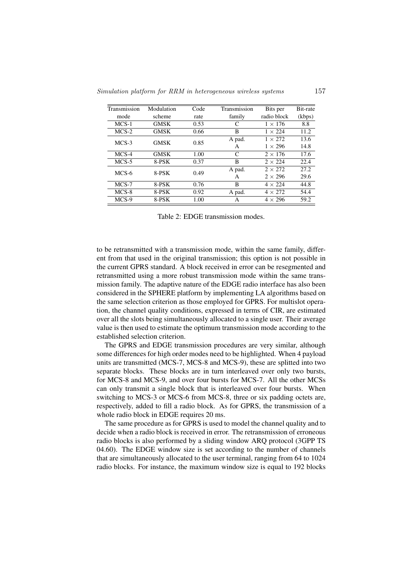| Transmission | Modulation  | Code | Transmission | Bits per       | Bit-rate |
|--------------|-------------|------|--------------|----------------|----------|
| mode         | scheme      | rate | family       | radio block    | (kbps)   |
| $MCS-1$      | <b>GMSK</b> | 0.53 | C            | $1 \times 176$ | 8.8      |
| $MCS-2$      | <b>GMSK</b> | 0.66 | B            | $1 \times 224$ | 11.2     |
| $MCS-3$      | <b>GMSK</b> | 0.85 | A pad.       | $1 \times 272$ | 13.6     |
|              |             |      | A            | $1 \times 296$ | 14.8     |
| MCS-4        | <b>GMSK</b> | 1.00 | C            | $2 \times 176$ | 17.6     |
| $MCS-5$      | 8-PSK       | 0.37 | B            | $2 \times 224$ | 22.4     |
| MCS-6        | 8-PSK       | 0.49 | A pad.       | $2 \times 272$ | 27.2     |
|              |             |      | A            | $2 \times 296$ | 29.6     |
| $MCS-7$      | 8-PSK       | 0.76 | B            | $4 \times 224$ | 44.8     |
| $MCS-8$      | 8-PSK       | 0.92 | A pad.       | $4 \times 272$ | 54.4     |
| MCS-9        | 8-PSK       | 1.00 | A            | $4 \times 296$ | 59.2     |
|              |             |      |              |                |          |

Table 2: EDGE transmission modes.

to be retransmitted with a transmission mode, within the same family, different from that used in the original transmission; this option is not possible in the current GPRS standard. A block received in error can be resegmented and retransmitted using a more robust transmission mode within the same transmission family. The adaptive nature of the EDGE radio interface has also been considered in the SPHERE platform by implementing LA algorithms based on the same selection criterion as those employed for GPRS. For multislot operation, the channel quality conditions, expressed in terms of CIR, are estimated over all the slots being simultaneously allocated to a single user. Their average value is then used to estimate the optimum transmission mode according to the established selection criterion.

The GPRS and EDGE transmission procedures are very similar, although some differences for high order modes need to be highlighted. When 4 payload units are transmitted (MCS-7, MCS-8 and MCS-9), these are splitted into two separate blocks. These blocks are in turn interleaved over only two bursts, for MCS-8 and MCS-9, and over four bursts for MCS-7. All the other MCSs can only transmit a single block that is interleaved over four bursts. When switching to MCS-3 or MCS-6 from MCS-8, three or six padding octets are, respectively, added to fill a radio block. As for GPRS, the transmission of a whole radio block in EDGE requires 20 ms.

The same procedure as for GPRS is used to model the channel quality and to decide when a radio block is received in error. The retransmission of erroneous radio blocks is also performed by a sliding window ARQ protocol (3GPP TS 04.60). The EDGE window size is set according to the number of channels that are simultaneously allocated to the user terminal, ranging from 64 to 1024 radio blocks. For instance, the maximum window size is equal to 192 blocks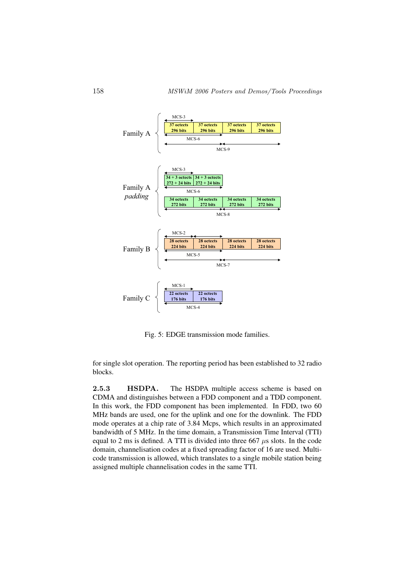

Fig. 5: EDGE transmission mode families.

for single slot operation. The reporting period has been established to 32 radio blocks.

2.5.3 HSDPA. The HSDPA multiple access scheme is based on CDMA and distinguishes between a FDD component and a TDD component. In this work, the FDD component has been implemented. In FDD, two 60 MHz bands are used, one for the uplink and one for the downlink. The FDD mode operates at a chip rate of 3.84 Mcps, which results in an approximated bandwidth of 5 MHz. In the time domain, a Transmission Time Interval (TTI) equal to 2 ms is defined. A TTI is divided into three 667  $\mu$ s slots. In the code domain, channelisation codes at a fixed spreading factor of 16 are used. Multicode transmission is allowed, which translates to a single mobile station being assigned multiple channelisation codes in the same TTI.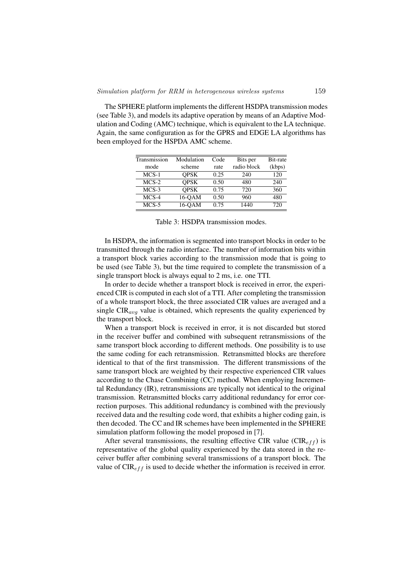The SPHERE platform implements the different HSDPA transmission modes (see Table 3), and models its adaptive operation by means of an Adaptive Modulation and Coding (AMC) technique, which is equivalent to the LA technique. Again, the same configuration as for the GPRS and EDGE LA algorithms has been employed for the HSPDA AMC scheme.

| Transmission | Modulation  | Code | Bits per    | Bit-rate |
|--------------|-------------|------|-------------|----------|
| mode         | scheme      | rate | radio block | (kbps)   |
| $MCS-1$      | <b>OPSK</b> | 0.25 | 240         | 120      |
| $MCS-2$      | <b>OPSK</b> | 0.50 | 480         | 240      |
| $MCS-3$      | <b>OPSK</b> | 0.75 | 720         | 360      |
| $MCS-4$      | 16-OAM      | 0.50 | 960         | 480      |
| $MCS-5$      | 16-OAM      | 0.75 | 1440        | 720      |

Table 3: HSDPA transmission modes.

In HSDPA, the information is segmented into transport blocks in order to be transmitted through the radio interface. The number of information bits within a transport block varies according to the transmission mode that is going to be used (see Table 3), but the time required to complete the transmission of a single transport block is always equal to 2 ms, i.e. one TTI.

In order to decide whether a transport block is received in error, the experienced CIR is computed in each slot of a TTI. After completing the transmission of a whole transport block, the three associated CIR values are averaged and a single  $CIR_{avg}$  value is obtained, which represents the quality experienced by the transport block.

When a transport block is received in error, it is not discarded but stored in the receiver buffer and combined with subsequent retransmissions of the same transport block according to different methods. One possibility is to use the same coding for each retransmission. Retransmitted blocks are therefore identical to that of the first transmission. The different transmissions of the same transport block are weighted by their respective experienced CIR values according to the Chase Combining (CC) method. When employing Incremental Redundancy (IR), retransmissions are typically not identical to the original transmission. Retransmitted blocks carry additional redundancy for error correction purposes. This additional redundancy is combined with the previously received data and the resulting code word, that exhibits a higher coding gain, is then decoded. The CC and IR schemes have been implemented in the SPHERE simulation platform following the model proposed in [7].

After several transmissions, the resulting effective CIR value ( $CIR<sub>eff</sub>$ ) is representative of the global quality experienced by the data stored in the receiver buffer after combining several transmissions of a transport block. The value of  $CIR_{eff}$  is used to decide whether the information is received in error.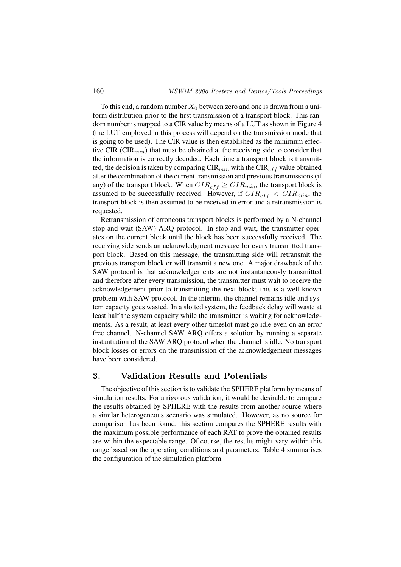To this end, a random number  $X_0$  between zero and one is drawn from a uniform distribution prior to the first transmission of a transport block. This random number is mapped to a CIR value by means of a LUT as shown in Figure 4 (the LUT employed in this process will depend on the transmission mode that is going to be used). The CIR value is then established as the minimum effective CIR ( $CIR_{min}$ ) that must be obtained at the receiving side to consider that the information is correctly decoded. Each time a transport block is transmitted, the decision is taken by comparing  $CIR_{min}$  with the  $CIR_{eff}$  value obtained after the combination of the current transmission and previous transmissions (if any) of the transport block. When  $CIR_{eff} \geq CIR_{min}$ , the transport block is assumed to be successfully received. However, if  $CIR_{eff} < CIR_{min}$ , the transport block is then assumed to be received in error and a retransmission is requested.

Retransmission of erroneous transport blocks is performed by a N-channel stop-and-wait (SAW) ARQ protocol. In stop-and-wait, the transmitter operates on the current block until the block has been successfully received. The receiving side sends an acknowledgment message for every transmitted transport block. Based on this message, the transmitting side will retransmit the previous transport block or will transmit a new one. A major drawback of the SAW protocol is that acknowledgements are not instantaneously transmitted and therefore after every transmission, the transmitter must wait to receive the acknowledgement prior to transmitting the next block; this is a well-known problem with SAW protocol. In the interim, the channel remains idle and system capacity goes wasted. In a slotted system, the feedback delay will waste at least half the system capacity while the transmitter is waiting for acknowledgments. As a result, at least every other timeslot must go idle even on an error free channel. N-channel SAW ARQ offers a solution by running a separate instantiation of the SAW ARQ protocol when the channel is idle. No transport block losses or errors on the transmission of the acknowledgement messages have been considered.

#### 3. Validation Results and Potentials

The objective of this section is to validate the SPHERE platform by means of simulation results. For a rigorous validation, it would be desirable to compare the results obtained by SPHERE with the results from another source where a similar heterogeneous scenario was simulated. However, as no source for comparison has been found, this section compares the SPHERE results with the maximum possible performance of each RAT to prove the obtained results are within the expectable range. Of course, the results might vary within this range based on the operating conditions and parameters. Table 4 summarises the configuration of the simulation platform.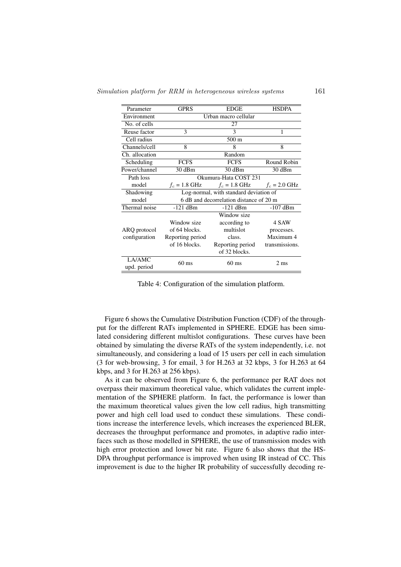Simulation platform for RRM in heterogeneous wireless systems 161

| Parameter      | <b>GPRS</b>                            | <b>EDGE</b>                             | <b>HSDPA</b>    |  |
|----------------|----------------------------------------|-----------------------------------------|-----------------|--|
| Environment    | Urban macro cellular                   |                                         |                 |  |
| No. of cells   | 27                                     |                                         |                 |  |
| Reuse factor   | 3                                      | 3                                       | 1               |  |
| Cell radius    |                                        | $500 \text{ m}$                         |                 |  |
| Channels/cell  | 8                                      | 8                                       | 8               |  |
| Ch. allocation |                                        | Random                                  |                 |  |
| Scheduling     | <b>FCFS</b>                            | <b>FCFS</b>                             | Round Robin     |  |
| Power/channel  | 30 dBm                                 | 30 dBm                                  | 30 dBm          |  |
| Path loss      | Okumura-Hata COST 231                  |                                         |                 |  |
| model          | $f_c = 1.8$ GHz                        | $f_c = 1.8$ GHz                         | $f_c = 2.0$ GHz |  |
| Shadowing      | Log-normal, with standard deviation of |                                         |                 |  |
| model          |                                        | 6 dB and decorrelation distance of 20 m |                 |  |
| Thermal noise  | $-121$ dBm                             | $-121$ dBm                              | $-107$ dBm      |  |
|                |                                        | Window size                             |                 |  |
|                | Window size                            | according to                            | 4 SAW           |  |
| ARQ protocol   | of 64 blocks.                          | multislot                               | processes.      |  |
| configuration  | Reporting period                       | class.                                  | Maximum 4       |  |
|                | of 16 blocks.                          | Reporting period                        | transmissions.  |  |
|                |                                        | of 32 blocks.                           |                 |  |
| LA/AMC         | 60 ms                                  | $60 \text{ ms}$                         | $2 \text{ ms}$  |  |
| upd. period    |                                        |                                         |                 |  |

Table 4: Configuration of the simulation platform.

Figure 6 shows the Cumulative Distribution Function (CDF) of the throughput for the different RATs implemented in SPHERE. EDGE has been simulated considering different multislot configurations. These curves have been obtained by simulating the diverse RATs of the system independently, i.e. not simultaneously, and considering a load of 15 users per cell in each simulation (3 for web-browsing, 3 for email, 3 for H.263 at 32 kbps, 3 for H.263 at 64 kbps, and 3 for H.263 at 256 kbps).

As it can be observed from Figure 6, the performance per RAT does not overpass their maximum theoretical value, which validates the current implementation of the SPHERE platform. In fact, the performance is lower than the maximum theoretical values given the low cell radius, high transmitting power and high cell load used to conduct these simulations. These conditions increase the interference levels, which increases the experienced BLER, decreases the throughput performance and promotes, in adaptive radio interfaces such as those modelled in SPHERE, the use of transmission modes with high error protection and lower bit rate. Figure 6 also shows that the HS-DPA throughput performance is improved when using IR instead of CC. This improvement is due to the higher IR probability of successfully decoding re-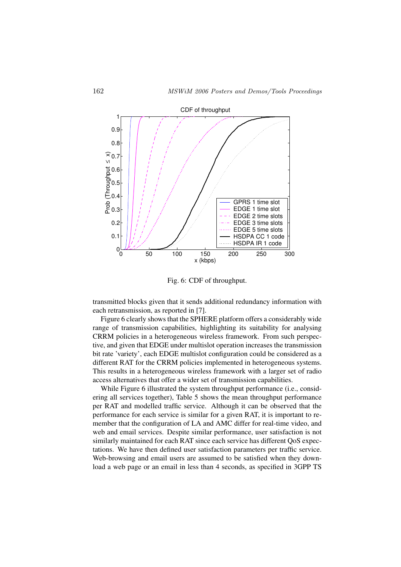

Fig. 6: CDF of throughput.

transmitted blocks given that it sends additional redundancy information with each retransmission, as reported in [7].

Figure 6 clearly shows that the SPHERE platform offers a considerably wide range of transmission capabilities, highlighting its suitability for analysing CRRM policies in a heterogeneous wireless framework. From such perspective, and given that EDGE under multislot operation increases the transmission bit rate 'variety', each EDGE multislot configuration could be considered as a different RAT for the CRRM policies implemented in heterogeneous systems. This results in a heterogeneous wireless framework with a larger set of radio access alternatives that offer a wider set of transmission capabilities.

While Figure 6 illustrated the system throughput performance (i.e., considering all services together), Table 5 shows the mean throughput performance per RAT and modelled traffic service. Although it can be observed that the performance for each service is similar for a given RAT, it is important to remember that the configuration of LA and AMC differ for real-time video, and web and email services. Despite similar performance, user satisfaction is not similarly maintained for each RAT since each service has different QoS expectations. We have then defined user satisfaction parameters per traffic service. Web-browsing and email users are assumed to be satisfied when they download a web page or an email in less than 4 seconds, as specified in 3GPP TS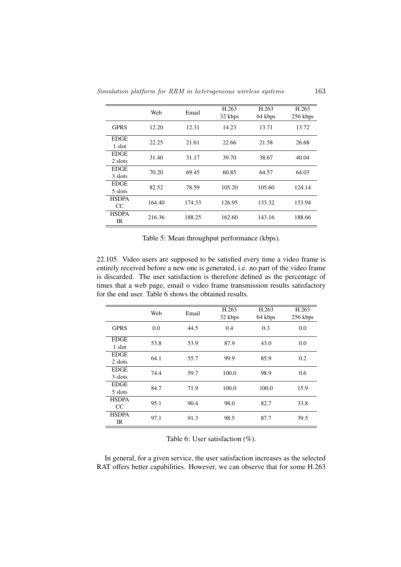Simulation platform for RRM in heterogeneous wireless systems 163

|              | Web    | Email  | H.263   | H.263   | H.263    |
|--------------|--------|--------|---------|---------|----------|
|              |        |        | 32 kbps | 64 kbps | 256 kbps |
| <b>GPRS</b>  | 12.20  | 12.31  | 14.23   | 13.71   | 13.72    |
| <b>EDGE</b>  |        |        |         |         |          |
| 1 slot       | 22.25  | 21.61  | 22.66   | 21.58   | 26.68    |
| <b>EDGE</b>  | 31.40  | 31.17  | 39.70   | 38.67   | 40.04    |
| 2 slots      |        |        |         |         |          |
| <b>EDGE</b>  | 70.20  | 69.45  | 60.85   | 64.57   | 64.03    |
| 3 slots      |        |        |         |         |          |
| <b>EDGE</b>  | 82.52  | 78.59  | 105.20  | 105.60  | 124.14   |
| 5 slots      |        |        |         |         |          |
| <b>HSDPA</b> | 164.40 | 174.33 | 126.95  | 133.32  | 153.94   |
| CC           |        |        |         |         |          |
| <b>HSDPA</b> | 216.36 | 188.25 | 162.60  | 143.16  | 188.66   |
| IR           |        |        |         |         |          |

Table 5: Mean throughput performance (kbps).

22.105. Video users are supposed to be satisfied every time a video frame is entirely received before a new one is generated, i.e. no part of the video frame is discarded. The user satisfaction is therefore defined as the percentage of times that a web page, email o video frame transmission results satisfactory for the end user. Table 6 shows the obtained results.

|                             | Web  | Email | H.263<br>32 kbps | H.263<br>64 kbps | H.263<br>256 kbps |
|-----------------------------|------|-------|------------------|------------------|-------------------|
| <b>GPRS</b>                 | 0.0  | 44.5  | 0.4              | 0.3              | 0.0               |
| <b>EDGE</b><br>1 slot       | 53.8 | 53.9  | 87.9             | 43.0             | 0.0               |
| <b>EDGE</b><br>2 slots      | 64.1 | 55.7  | 99.9             | 85.9             | 0.2               |
| <b>EDGE</b><br>3 slots      | 74.4 | 59.7  | 100.0            | 98.9             | 0.6               |
| <b>EDGE</b><br>5 slots      | 84.7 | 71.9  | 100.0            | 100.0            | 15.9              |
| <b>HSDPA</b><br>CC.         | 95.1 | 90.4  | 98.0             | 82.7             | 33.8              |
| <b>HSDPA</b><br>$_{\rm IR}$ | 97.1 | 91.3  | 98.5             | 87.7             | 39.5              |

Table 6: User satisfaction  $(\%)$ .

In general, for a given service, the user satisfaction increases as the selected RAT offers better capabilities. However, we can observe that for some H.263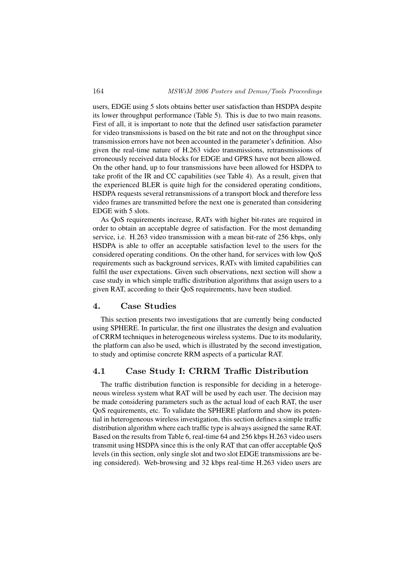users, EDGE using 5 slots obtains better user satisfaction than HSDPA despite its lower throughput performance (Table 5). This is due to two main reasons. First of all, it is important to note that the defined user satisfaction parameter for video transmissions is based on the bit rate and not on the throughput since transmission errors have not been accounted in the parameter's definition. Also given the real-time nature of H.263 video transmissions, retransmissions of erroneously received data blocks for EDGE and GPRS have not been allowed. On the other hand, up to four transmissions have been allowed for HSDPA to take profit of the IR and CC capabilities (see Table 4). As a result, given that the experienced BLER is quite high for the considered operating conditions, HSDPA requests several retransmissions of a transport block and therefore less video frames are transmitted before the next one is generated than considering EDGE with 5 slots.

As QoS requirements increase, RATs with higher bit-rates are required in order to obtain an acceptable degree of satisfaction. For the most demanding service, i.e. H.263 video transmission with a mean bit-rate of 256 kbps, only HSDPA is able to offer an acceptable satisfaction level to the users for the considered operating conditions. On the other hand, for services with low QoS requirements such as background services, RATs with limited capabilities can fulfil the user expectations. Given such observations, next section will show a case study in which simple traffic distribution algorithms that assign users to a given RAT, according to their QoS requirements, have been studied.

#### 4. Case Studies

This section presents two investigations that are currently being conducted using SPHERE. In particular, the first one illustrates the design and evaluation of CRRM techniques in heterogeneous wireless systems. Due to its modularity, the platform can also be used, which is illustrated by the second investigation, to study and optimise concrete RRM aspects of a particular RAT.

#### 4.1 Case Study I: CRRM Traffic Distribution

The traffic distribution function is responsible for deciding in a heterogeneous wireless system what RAT will be used by each user. The decision may be made considering parameters such as the actual load of each RAT, the user QoS requirements, etc. To validate the SPHERE platform and show its potential in heterogeneous wireless investigation, this section defines a simple traffic distribution algorithm where each traffic type is always assigned the same RAT. Based on the results from Table 6, real-time 64 and 256 kbps H.263 video users transmit using HSDPA since this is the only RAT that can offer acceptable QoS levels (in this section, only single slot and two slot EDGE transmissions are being considered). Web-browsing and 32 kbps real-time H.263 video users are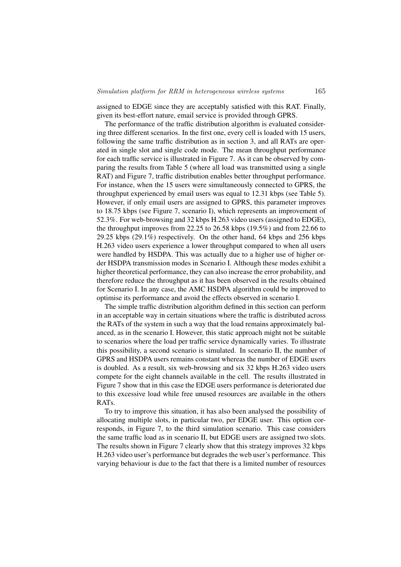assigned to EDGE since they are acceptably satisfied with this RAT. Finally, given its best-effort nature, email service is provided through GPRS.

The performance of the traffic distribution algorithm is evaluated considering three different scenarios. In the first one, every cell is loaded with 15 users, following the same traffic distribution as in section 3, and all RATs are operated in single slot and single code mode. The mean throughput performance for each traffic service is illustrated in Figure 7. As it can be observed by comparing the results from Table 5 (where all load was transmitted using a single RAT) and Figure 7, traffic distribution enables better throughput performance. For instance, when the 15 users were simultaneously connected to GPRS, the throughput experienced by email users was equal to 12.31 kbps (see Table 5). However, if only email users are assigned to GPRS, this parameter improves to 18.75 kbps (see Figure 7, scenario I), which represents an improvement of 52.3%. For web-browsing and 32 kbps H.263 video users (assigned to EDGE), the throughput improves from 22.25 to 26.58 kbps (19.5%) and from 22.66 to 29.25 kbps (29.1%) respectively. On the other hand, 64 kbps and 256 kbps H.263 video users experience a lower throughput compared to when all users were handled by HSDPA. This was actually due to a higher use of higher order HSDPA transmission modes in Scenario I. Although these modes exhibit a higher theoretical performance, they can also increase the error probability, and therefore reduce the throughput as it has been observed in the results obtained for Scenario I. In any case, the AMC HSDPA algorithm could be improved to optimise its performance and avoid the effects observed in scenario I.

The simple traffic distribution algorithm defined in this section can perform in an acceptable way in certain situations where the traffic is distributed across the RATs of the system in such a way that the load remains approximately balanced, as in the scenario I. However, this static approach might not be suitable to scenarios where the load per traffic service dynamically varies. To illustrate this possibility, a second scenario is simulated. In scenario II, the number of GPRS and HSDPA users remains constant whereas the number of EDGE users is doubled. As a result, six web-browsing and six 32 kbps H.263 video users compete for the eight channels available in the cell. The results illustrated in Figure 7 show that in this case the EDGE users performance is deteriorated due to this excessive load while free unused resources are available in the others RATs.

To try to improve this situation, it has also been analysed the possibility of allocating multiple slots, in particular two, per EDGE user. This option corresponds, in Figure 7, to the third simulation scenario. This case considers the same traffic load as in scenario II, but EDGE users are assigned two slots. The results shown in Figure 7 clearly show that this strategy improves 32 kbps H.263 video user's performance but degrades the web user's performance. This varying behaviour is due to the fact that there is a limited number of resources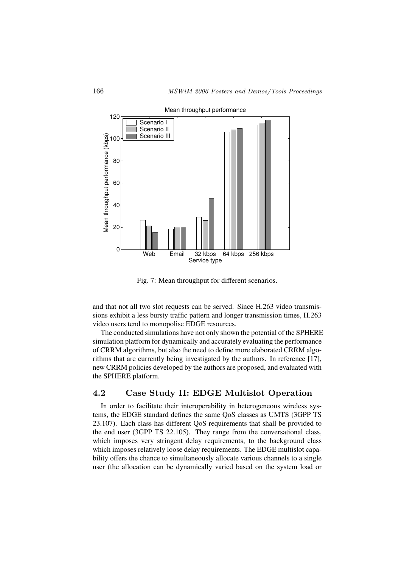

Fig. 7: Mean throughput for different scenarios.

and that not all two slot requests can be served. Since H.263 video transmissions exhibit a less bursty traffic pattern and longer transmission times, H.263 video users tend to monopolise EDGE resources.

The conducted simulations have not only shown the potential of the SPHERE simulation platform for dynamically and accurately evaluating the performance of CRRM algorithms, but also the need to define more elaborated CRRM algorithms that are currently being investigated by the authors. In reference [17], new CRRM policies developed by the authors are proposed, and evaluated with the SPHERE platform.

#### 4.2 Case Study II: EDGE Multislot Operation

In order to facilitate their interoperability in heterogeneous wireless systems, the EDGE standard defines the same QoS classes as UMTS (3GPP TS 23.107). Each class has different QoS requirements that shall be provided to the end user (3GPP TS 22.105). They range from the conversational class, which imposes very stringent delay requirements, to the background class which imposes relatively loose delay requirements. The EDGE multislot capability offers the chance to simultaneously allocate various channels to a single user (the allocation can be dynamically varied based on the system load or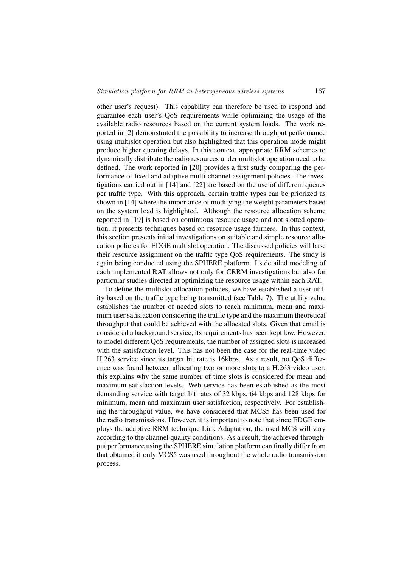other user's request). This capability can therefore be used to respond and guarantee each user's QoS requirements while optimizing the usage of the available radio resources based on the current system loads. The work reported in [2] demonstrated the possibility to increase throughput performance using multislot operation but also highlighted that this operation mode might produce higher queuing delays. In this context, appropriate RRM schemes to dynamically distribute the radio resources under multislot operation need to be defined. The work reported in [20] provides a first study comparing the performance of fixed and adaptive multi-channel assignment policies. The investigations carried out in [14] and [22] are based on the use of different queues per traffic type. With this approach, certain traffic types can be priorized as shown in [14] where the importance of modifying the weight parameters based on the system load is highlighted. Although the resource allocation scheme reported in [19] is based on continuous resource usage and not slotted operation, it presents techniques based on resource usage fairness. In this context, this section presents initial investigations on suitable and simple resource allocation policies for EDGE multislot operation. The discussed policies will base their resource assignment on the traffic type QoS requirements. The study is again being conducted using the SPHERE platform. Its detailed modeling of each implemented RAT allows not only for CRRM investigations but also for particular studies directed at optimizing the resource usage within each RAT.

To define the multislot allocation policies, we have established a user utility based on the traffic type being transmitted (see Table 7). The utility value establishes the number of needed slots to reach minimum, mean and maximum user satisfaction considering the traffic type and the maximum theoretical throughput that could be achieved with the allocated slots. Given that email is considered a background service, its requirements has been kept low. However, to model different QoS requirements, the number of assigned slots is increased with the satisfaction level. This has not been the case for the real-time video H.263 service since its target bit rate is 16kbps. As a result, no QoS difference was found between allocating two or more slots to a H.263 video user; this explains why the same number of time slots is considered for mean and maximum satisfaction levels. Web service has been established as the most demanding service with target bit rates of 32 kbps, 64 kbps and 128 kbps for minimum, mean and maximum user satisfaction, respectively. For establishing the throughput value, we have considered that MCS5 has been used for the radio transmissions. However, it is important to note that since EDGE employs the adaptive RRM technique Link Adaptation, the used MCS will vary according to the channel quality conditions. As a result, the achieved throughput performance using the SPHERE simulation platform can finally differ from that obtained if only MCS5 was used throughout the whole radio transmission process.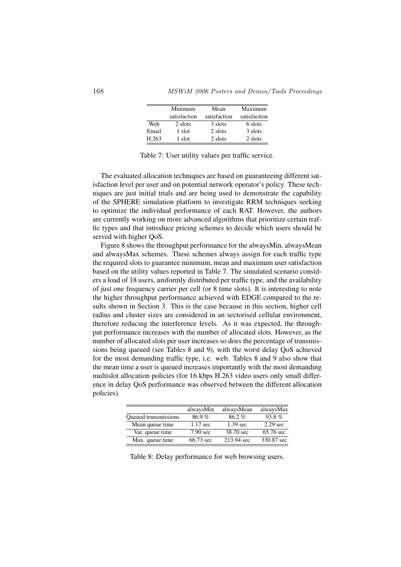|       | Minimum<br>satisfaction | Mean<br>satisfaction | Maximum<br>satisfaction |
|-------|-------------------------|----------------------|-------------------------|
| Web   | 2 slots                 | 3 slots              | 6 slots                 |
| Email | 1 slot                  | 2 slots              | 3 slots                 |
| H.263 | 1 slot                  | 2 slots              | 2 slots                 |

Table 7: User utility values per traffic service.

The evaluated allocation techniques are based on guaranteeing different satisfaction level per user and on potential network operator's policy. These techniques are just initial trials and are being used to demonstrate the capability of the SPHERE simulation platform to investigate RRM techniques seeking to optimize the individual performance of each RAT. However, the authors are currently working on more advanced algorithms that prioritize certain traffic types and that introduce pricing schemes to decide which users should be served with higher OoS.

Figure 8 shows the throughput performance for the alwaysMin, alwaysMean and alwaysMax schemes. These schemes always assign for each traffic type the required slots to guarantee minimum, mean and maximum user satisfaction based on the utility values reported in Table 7. The simulated scenario considers a load of 18 users, uniformly distributed per traffic type, and the availability of just one frequency carrier per cell (or 8 time slots). It is interesting to note the higher throughput performance achieved with EDGE compared to the results shown in Section 3. This is the case because in this section, higher cell radius and cluster sizes are considered in an sectorised cellular environment, therefore reducing the interference levels. As it was expected, the throughput performance increases with the number of allocated slots. However, as the number of allocated slots per user increases so does the percentage of transmissions being queued (see Tables 8 and 9), with the worst delay QoS achieved for the most demanding traffic type, i.e. web. Tables 8 and 9 also show that the mean time a user is queued increases importantly with the most demanding multislot allocation policies (for 16 kbps H.263 video users only small difference in delay QoS performance was observed between the different allocation policies).

|                      | alwaysMin          | alwaysMean         | alwaysMax          |
|----------------------|--------------------|--------------------|--------------------|
| Queued transmissions | 86.9%              | 86.2%              | 93.8%              |
| Mean queue time      | $1.17 \text{ sec}$ | $1.39 \text{ sec}$ | $2.29 \text{ sec}$ |
| Var. queue time      | $7.90 \text{ sec}$ | 38.70 sec          | 65.76 sec          |
| Max. queue time      | 66.73 sec          | 213.94 sec         | 330.87 sec         |

Table 8: Delay performance for web browsing users.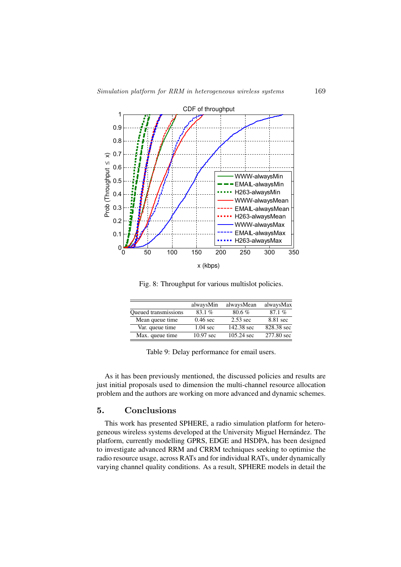

Fig. 8: Throughput for various multislot policies.

| alwaysMin           | alwaysMean           | alwaysMax  |
|---------------------|----------------------|------------|
| 83.1%               | 80.6%                | 87.1%      |
| $0.46$ sec          | $2.53 \text{ sec}$   | 8.81 sec   |
| $1.04 \text{ sec}$  | 142.38 sec           | 828.38 sec |
| $10.97 \text{ sec}$ | $105.24 \text{ sec}$ | 277.80 sec |
|                     |                      |            |

Table 9: Delay performance for email users.

As it has been previously mentioned, the discussed policies and results are just initial proposals used to dimension the multi-channel resource allocation problem and the authors are working on more advanced and dynamic schemes.

#### 5. Conclusions

This work has presented SPHERE, a radio simulation platform for heterogeneous wireless systems developed at the University Miguel Hernandez. The ´ platform, currently modelling GPRS, EDGE and HSDPA, has been designed to investigate advanced RRM and CRRM techniques seeking to optimise the radio resource usage, across RATs and for individual RATs, under dynamically varying channel quality conditions. As a result, SPHERE models in detail the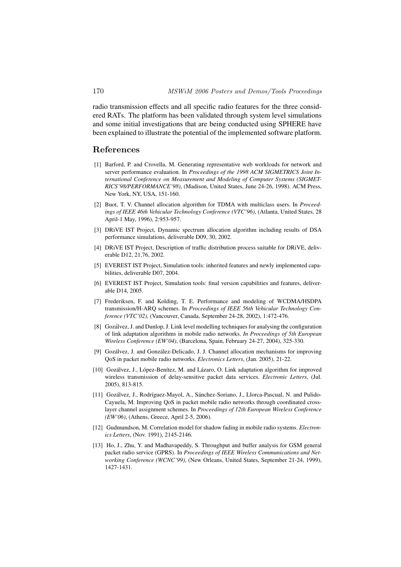radio transmission effects and all specific radio features for the three considered RATs. The platform has been validated through system level simulations and some initial investigations that are being conducted using SPHERE have been explained to illustrate the potential of the implemented software platform.

#### References

- [1] Barford, P. and Crovella, M. Generating representative web workloads for network and server performance evaluation. In *Proceedings of the 1998 ACM SIGMETRICS Joint International Conference on Measurement and Modeling of Computer Systems (SIGMET-RICS'98/PERFORMANCE'98)*, (Madison, United States, June 24-26, 1998). ACM Press, New York, NY, USA, 151-160.
- [2] Buot, T. V. Channel allocation algorithm for TDMA with multiclass users. In *Proceedings of IEEE 46th Vehicular Technology Conference (VTC'96)*, (Atlanta, United States, 28 April-1 May, 1996), 2:953-957.
- [3] DRiVE IST Project, Dynamic spectrum allocation algorithm including results of DSA performance simulations, deliverable D09, 30, 2002.
- [4] DRiVE IST Project, Description of traffic distribution process suitable for DRiVE, deliverable D12, 21,76, 2002.
- [5] EVEREST IST Project, Simulation tools: inherited features and newly implemented capabilities, deliverable D07, 2004.
- [6] EVEREST IST Project, Simulation tools: final version capabilities and features, deliverable D14, 2005.
- [7] Frederiksen, F. and Kolding, T. E. Performance and modeling of WCDMA/HSDPA transmission/H-ARQ schemes. In *Proceedings of IEEE 56th Vehicular Technology Conference (VTC'02)*, (Vancouver, Canada, September 24-28, 2002), 1:472-476.
- [8] Gozálvez, J. and Dunlop, J. Link level modelling techniques for analysing the configuration of link adaptation algorithms in mobile radio networks. *In Proceedings of 5th European Wireless Conference (EW'04)*, (Barcelona, Spain, February 24-27, 2004), 325-330.
- [9] Gozálvez, J. and González-Delicado, J. J. Channel allocation mechanisms for improving QoS in packet mobile radio networks. *Electronics Letters*, (Jan. 2005), 21-22.
- [10] Gozálvez, J., López-Benítez, M. and Lázaro, O. Link adaptation algorithm for improved wireless transmission of delay-sensitive packet data services. *Electronic Letters*, (Jul. 2005), 813-815.
- [11] Gozálvez, J., Rodríguez-Mayol, A., Sánchez-Soriano, J., Llorca-Pascual, N. and Pulido-Cayuela, M. Improving QoS in packet mobile radio networks through coordinated crosslayer channel assignment schemes. In *Proceedings of 12th European Wireless Conference (EW'06)*, (Athens, Greece, April 2-5, 2006).
- [12] Gudmundson, M. Correlation model for shadow fading in mobile radio systems. *Electronics Letters*, (Nov. 1991), 2145-2146.
- [13] Ho, J., Zhu, Y. and Madhavapeddy, S. Throughput and buffer analysis for GSM general packet radio service (GPRS). In *Proceedings of IEEE Wireless Communications and Networking Conference (WCNC'99)*, (New Orleans, United States, September 21-24, 1999), 1427-1431.